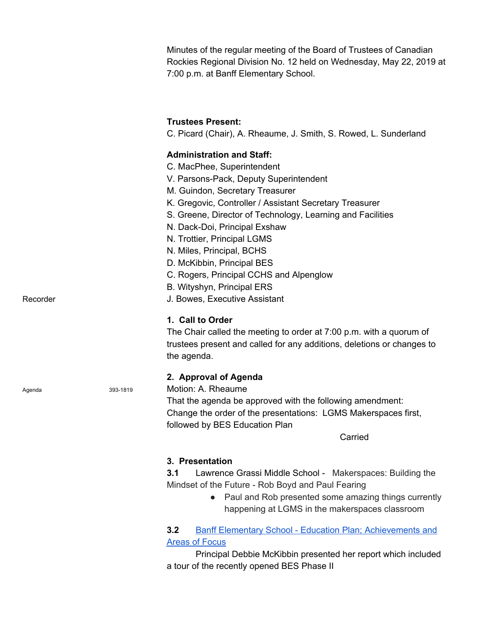Minutes of the regular meeting of the Board of Trustees of Canadian Rockies Regional Division No. 12 held on Wednesday, May 22, 2019 at 7:00 p.m. at Banff Elementary School.

## **Trustees Present:**

C. Picard (Chair), A. Rheaume, J. Smith, S. Rowed, L. Sunderland

### **Administration and Staff:**

- C. MacPhee, Superintendent
- V. Parsons-Pack, Deputy Superintendent
- M. Guindon, Secretary Treasurer
- K. Gregovic, Controller / Assistant Secretary Treasurer
- S. Greene, Director of Technology, Learning and Facilities
- N. Dack-Doi, Principal Exshaw
- N. Trottier, Principal LGMS
- N. Miles, Principal, BCHS
- D. McKibbin, Principal BES
- C. Rogers, Principal CCHS and Alpenglow
- B. Wityshyn, Principal ERS
- Recorder **Network** J. Bowes, Executive Assistant

### **1. Call to Order**

The Chair called the meeting to order at 7:00 p.m. with a quorum of trustees present and called for any additions, deletions or changes to the agenda.

### **2. Approval of Agenda**

Agenda 393-1819 Motion: A. Rheaume

That the agenda be approved with the following amendment: Change the order of the presentations: LGMS Makerspaces first, followed by BES Education Plan

Carried

#### **3. Presentation**

**3.1** Lawrence Grassi Middle School - Makerspaces: Building the Mindset of the Future - Rob Boyd and Paul Fearing

> ● Paul and Rob presented some amazing things currently happening at LGMS in the makerspaces classroom

## **3.2** Banff Elementary School - Education Plan; [Achievements](https://crps.ca/documents/general/2018-19%20BES%20SCHOOL%20Three%20year%20PLan.pdf) and Areas of [Focus](https://crps.ca/documents/general/2018-19%20BES%20SCHOOL%20Three%20year%20PLan.pdf)

Principal Debbie McKibbin presented her report which included a tour of the recently opened BES Phase II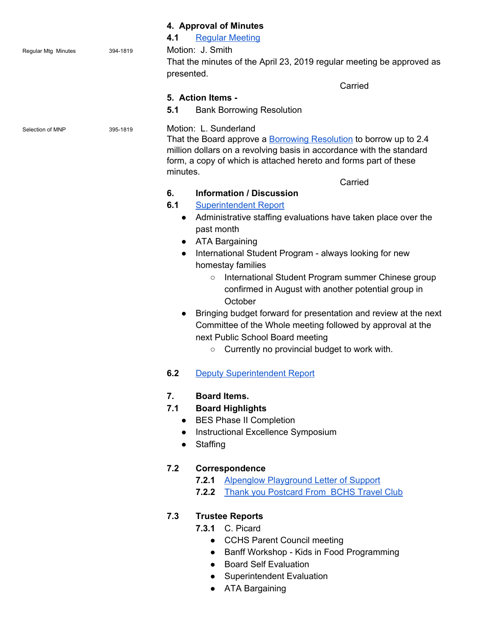|                            |          | 4. Approval of Minutes<br><b>Regular Meeting</b><br>4.1                                                                                                                                                                                                   |
|----------------------------|----------|-----------------------------------------------------------------------------------------------------------------------------------------------------------------------------------------------------------------------------------------------------------|
|                            | 394-1819 | Motion: J. Smith                                                                                                                                                                                                                                          |
| <b>Regular Mtg Minutes</b> |          | That the minutes of the April 23, 2019 regular meeting be approved as                                                                                                                                                                                     |
|                            |          | presented.                                                                                                                                                                                                                                                |
|                            |          | Carried                                                                                                                                                                                                                                                   |
|                            |          | 5. Action Items -                                                                                                                                                                                                                                         |
|                            |          | 5.1<br><b>Bank Borrowing Resolution</b>                                                                                                                                                                                                                   |
|                            |          |                                                                                                                                                                                                                                                           |
| Selection of MNP           | 395-1819 | Motion: L. Sunderland<br>That the Board approve a <b>Borrowing Resolution</b> to borrow up to 2.4<br>million dollars on a revolving basis in accordance with the standard<br>form, a copy of which is attached hereto and forms part of these<br>minutes. |
|                            |          | Carried                                                                                                                                                                                                                                                   |
|                            |          | 6.<br><b>Information / Discussion</b>                                                                                                                                                                                                                     |
|                            |          | 6.1<br><b>Superintendent Report</b>                                                                                                                                                                                                                       |
|                            |          | Administrative staffing evaluations have taken place over the<br>$\bullet$<br>past month                                                                                                                                                                  |
|                            |          | ATA Bargaining<br>$\bullet$                                                                                                                                                                                                                               |
|                            |          | International Student Program - always looking for new<br>$\bullet$<br>homestay families                                                                                                                                                                  |
|                            |          | International Student Program summer Chinese group<br>$\circ$                                                                                                                                                                                             |
|                            |          | confirmed in August with another potential group in<br>October                                                                                                                                                                                            |
|                            |          | Bringing budget forward for presentation and review at the next<br>$\bullet$                                                                                                                                                                              |
|                            |          | Committee of the Whole meeting followed by approval at the                                                                                                                                                                                                |
|                            |          | next Public School Board meeting                                                                                                                                                                                                                          |
|                            |          | Currently no provincial budget to work with.<br>$\circ$                                                                                                                                                                                                   |
|                            |          |                                                                                                                                                                                                                                                           |
|                            |          | 6.2<br><b>Deputy Superintendent Report</b>                                                                                                                                                                                                                |
|                            |          | <b>Board Items.</b><br>7.                                                                                                                                                                                                                                 |
|                            |          | 7.1<br><b>Board Highlights</b>                                                                                                                                                                                                                            |
|                            |          | • BES Phase II Completion                                                                                                                                                                                                                                 |
|                            |          | • Instructional Excellence Symposium                                                                                                                                                                                                                      |
|                            |          | Staffing                                                                                                                                                                                                                                                  |
|                            |          | Correspondence<br>7.2                                                                                                                                                                                                                                     |
|                            |          | <b>Alpenglow Playground Letter of Support</b><br>7.2.1                                                                                                                                                                                                    |
|                            |          | 7.2.2 Thank you Postcard From BCHS Travel Club                                                                                                                                                                                                            |
|                            |          | 7.3<br><b>Trustee Reports</b>                                                                                                                                                                                                                             |
|                            |          | <b>7.3.1 C. Picard</b>                                                                                                                                                                                                                                    |
|                            |          | <b>CCHS Parent Council meeting</b>                                                                                                                                                                                                                        |
|                            |          | Banff Workshop - Kids in Food Programming<br>$\bullet$                                                                                                                                                                                                    |
|                            |          | <b>Board Self Evaluation</b>                                                                                                                                                                                                                              |
|                            |          | <b>Superintendent Evaluation</b>                                                                                                                                                                                                                          |
|                            |          | <b>ATA Bargaining</b>                                                                                                                                                                                                                                     |
|                            |          |                                                                                                                                                                                                                                                           |
|                            |          |                                                                                                                                                                                                                                                           |